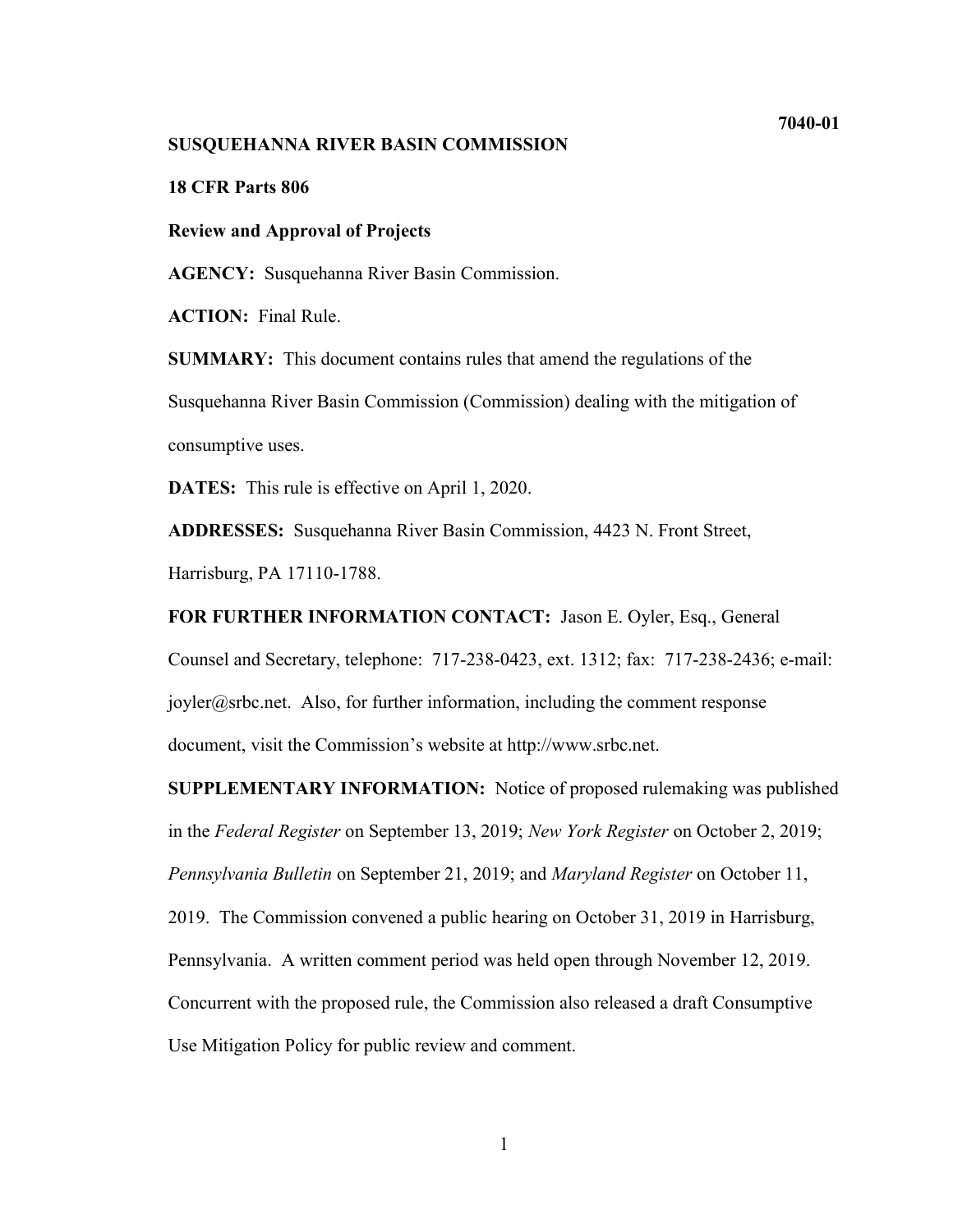#### SUSQUEHANNA RIVER BASIN COMMISSION

## 18 CFR Parts 806

#### Review and Approval of Projects

AGENCY: Susquehanna River Basin Commission.

ACTION: Final Rule.

SUMMARY: This document contains rules that amend the regulations of the Susquehanna River Basin Commission (Commission) dealing with the mitigation of consumptive uses.

DATES: This rule is effective on April 1, 2020.

ADDRESSES: Susquehanna River Basin Commission, 4423 N. Front Street, Harrisburg, PA 17110-1788.

FOR FURTHER INFORMATION CONTACT: Jason E. Oyler, Esq., General Counsel and Secretary, telephone: 717-238-0423, ext. 1312; fax: 717-238-2436; e-mail: joyler@srbc.net. Also, for further information, including the comment response document, visit the Commission's website at http://www.srbc.net.

SUPPLEMENTARY INFORMATION: Notice of proposed rulemaking was published in the Federal Register on September 13, 2019; New York Register on October 2, 2019; Pennsylvania Bulletin on September 21, 2019; and Maryland Register on October 11, 2019. The Commission convened a public hearing on October 31, 2019 in Harrisburg, Pennsylvania. A written comment period was held open through November 12, 2019. Concurrent with the proposed rule, the Commission also released a draft Consumptive Use Mitigation Policy for public review and comment.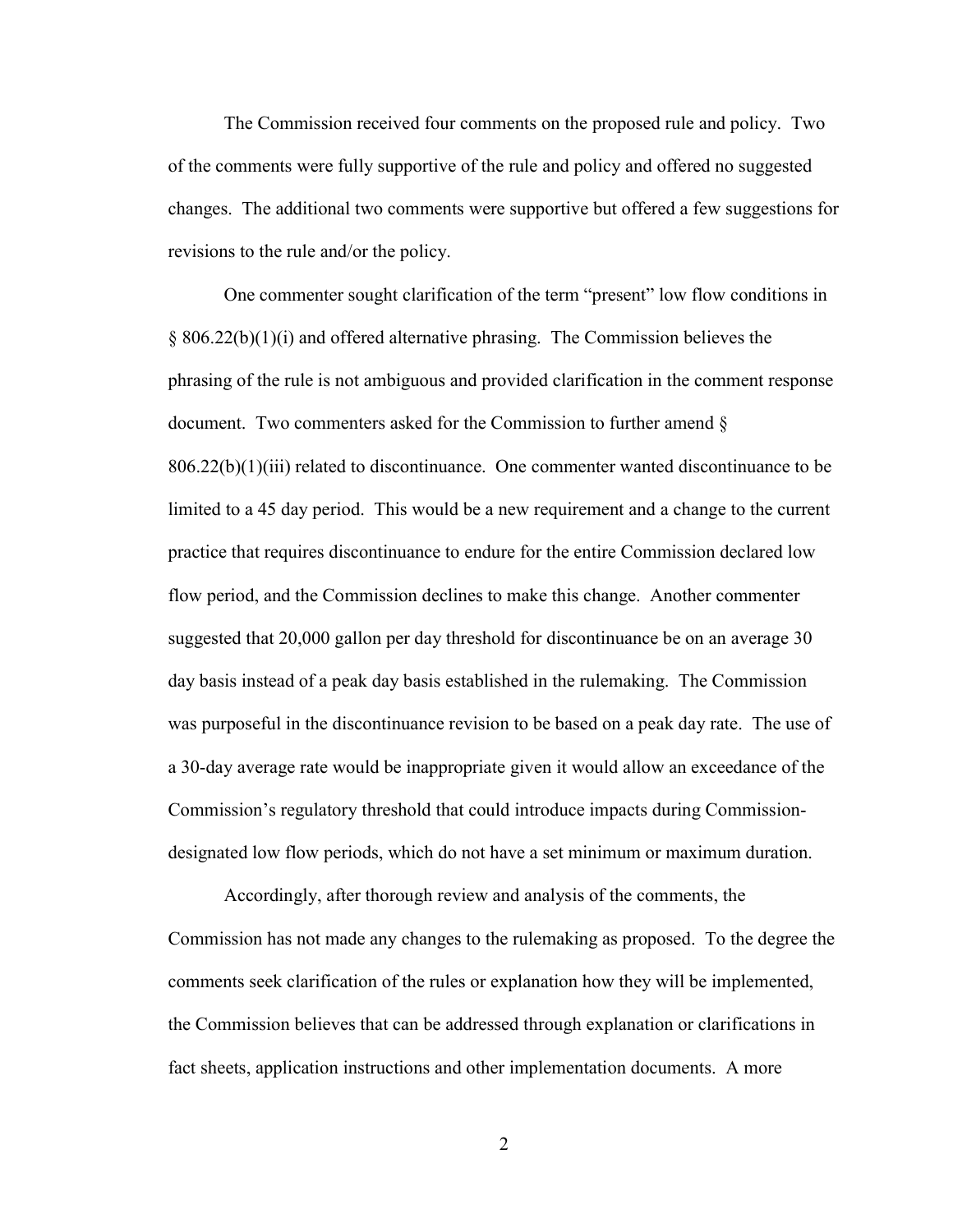The Commission received four comments on the proposed rule and policy. Two of the comments were fully supportive of the rule and policy and offered no suggested changes. The additional two comments were supportive but offered a few suggestions for revisions to the rule and/or the policy.

One commenter sought clarification of the term "present" low flow conditions in  $§ 806.22(b)(1)(i)$  and offered alternative phrasing. The Commission believes the phrasing of the rule is not ambiguous and provided clarification in the comment response document. Two commenters asked for the Commission to further amend §  $806.22(b)(1)(iii)$  related to discontinuance. One commenter wanted discontinuance to be limited to a 45 day period. This would be a new requirement and a change to the current practice that requires discontinuance to endure for the entire Commission declared low flow period, and the Commission declines to make this change. Another commenter suggested that 20,000 gallon per day threshold for discontinuance be on an average 30 day basis instead of a peak day basis established in the rulemaking. The Commission was purposeful in the discontinuance revision to be based on a peak day rate. The use of a 30-day average rate would be inappropriate given it would allow an exceedance of the Commission's regulatory threshold that could introduce impacts during Commissiondesignated low flow periods, which do not have a set minimum or maximum duration.

Accordingly, after thorough review and analysis of the comments, the Commission has not made any changes to the rulemaking as proposed. To the degree the comments seek clarification of the rules or explanation how they will be implemented, the Commission believes that can be addressed through explanation or clarifications in fact sheets, application instructions and other implementation documents. A more

2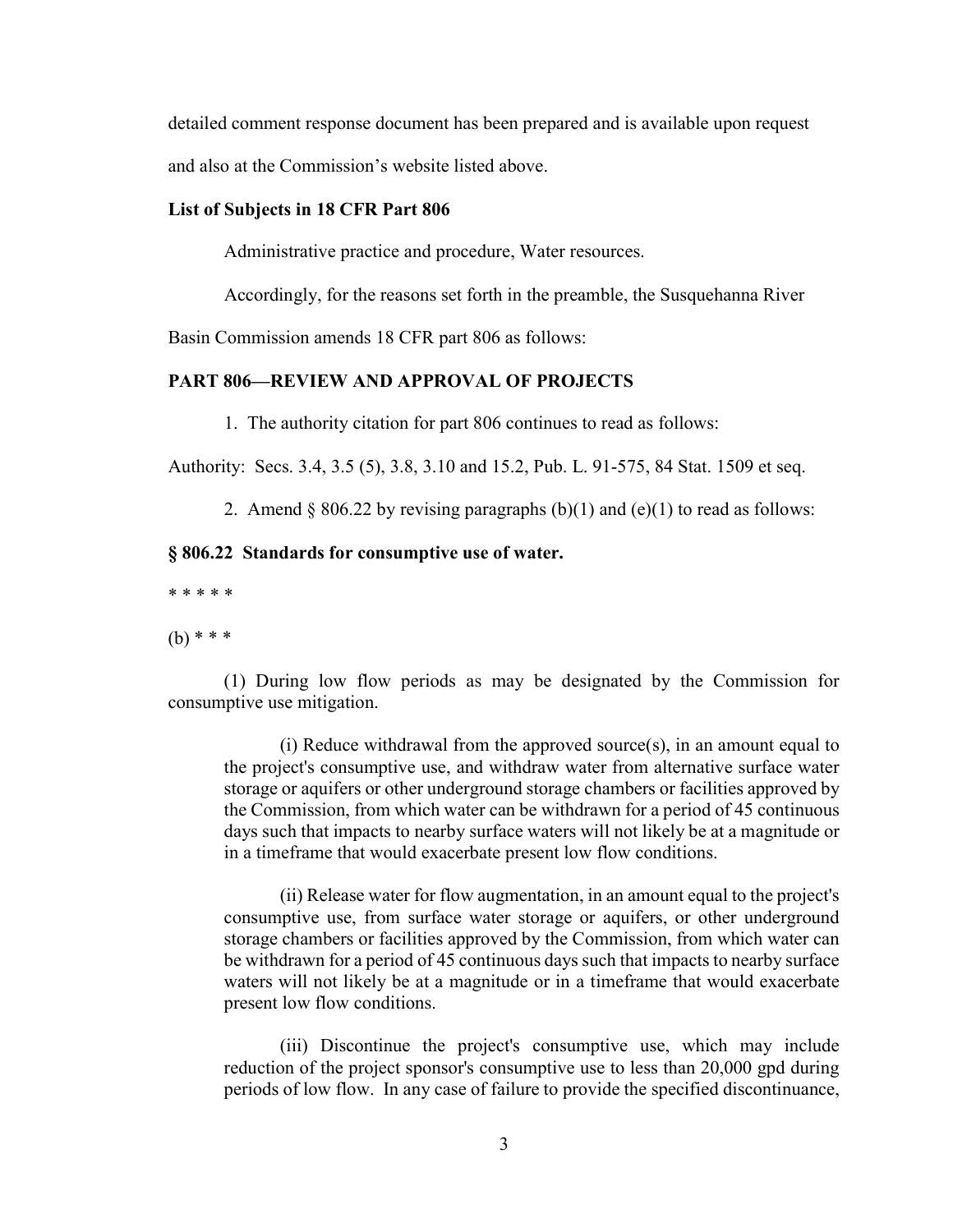detailed comment response document has been prepared and is available upon request and also at the Commission's website listed above.

#### List of Subjects in 18 CFR Part 806

Administrative practice and procedure, Water resources.

Accordingly, for the reasons set forth in the preamble, the Susquehanna River

Basin Commission amends 18 CFR part 806 as follows:

### PART 806—REVIEW AND APPROVAL OF PROJECTS

1. The authority citation for part 806 continues to read as follows:

Authority: Secs. 3.4, 3.5 (5), 3.8, 3.10 and 15.2, Pub. L. 91-575, 84 Stat. 1509 et seq.

2. Amend  $\S 806.22$  by revising paragraphs (b)(1) and (e)(1) to read as follows:

#### § 806.22 Standards for consumptive use of water.

\* \* \* \* \*

## $(b)$  \* \* \*

(1) During low flow periods as may be designated by the Commission for consumptive use mitigation.

(i) Reduce withdrawal from the approved source(s), in an amount equal to the project's consumptive use, and withdraw water from alternative surface water storage or aquifers or other underground storage chambers or facilities approved by the Commission, from which water can be withdrawn for a period of 45 continuous days such that impacts to nearby surface waters will not likely be at a magnitude or in a timeframe that would exacerbate present low flow conditions.

(ii) Release water for flow augmentation, in an amount equal to the project's consumptive use, from surface water storage or aquifers, or other underground storage chambers or facilities approved by the Commission, from which water can be withdrawn for a period of 45 continuous days such that impacts to nearby surface waters will not likely be at a magnitude or in a timeframe that would exacerbate present low flow conditions.

(iii) Discontinue the project's consumptive use, which may include reduction of the project sponsor's consumptive use to less than 20,000 gpd during periods of low flow. In any case of failure to provide the specified discontinuance,